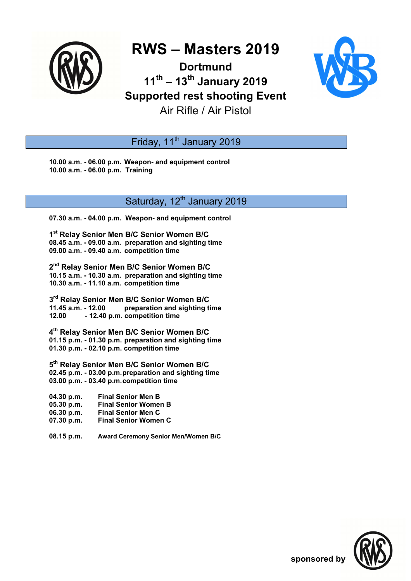

# **RWS – Masters 2019**

### **Dortmund 11th – 13th January 2019 Supported rest shooting Event**



Air Rifle / Air Pistol

Friday, 11<sup>th</sup> January 2019

**10.00 a.m. - 06.00 p.m. Weapon- and equipment control 10.00 a.m. - 06.00 p.m. Training** 

#### Saturday, 12<sup>th</sup> January 2019

**07.30 a.m. - 04.00 p.m. Weapon- and equipment control** 

**1 st Relay Senior Men B/C Senior Women B/C 08.45 a.m. - 09.00 a.m. preparation and sighting time 09.00 a.m. - 09.40 a.m. competition time** 

**2 nd Relay Senior Men B/C Senior Women B/C 10.15 a.m. - 10.30 a.m. preparation and sighting time 10.30 a.m. - 11.10 a.m. competition time** 

**3 rd Relay Senior Men B/C Senior Women B/C 11.45 a.m. - 12.00 preparation and sighting time 12.00 - 12.40 p.m. competition time** 

**4 th Relay Senior Men B/C Senior Women B/C 01.15 p.m. - 01.30 p.m. preparation and sighting time 01.30 p.m. - 02.10 p.m. competition time** 

**5 th Relay Senior Men B/C Senior Women B/C 02.45 p.m. - 03.00 p.m. preparation and sighting time 03.00 p.m. - 03.40 p.m. competition time** 

**04.30 p.m. Final Senior Men B 05.30 p.m. Final Senior Women B 06.30 p.m. Final Senior Men C 07.30 p.m. Final Senior Women C** 

**08.15 p.m. Award Ceremony Senior Men/Women B/C**